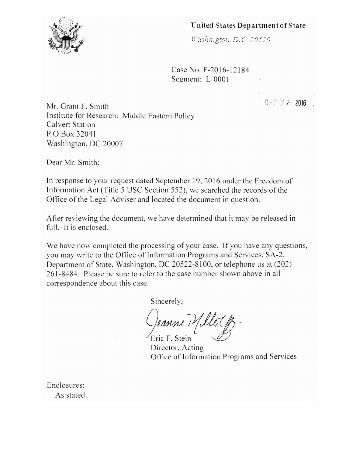## 'Cnited States Department of State



Case No. F-2016-12184 Segment: L-OOO I

 $0.60 \pm 2.2$  2016

Mr. Grant F. Smith Institute for Research: Middle Eastern Policy Calvert Station P.O Box 32041 Washington, DC 20007

Dear Mr. Smith:

In response to your request dated September 19, 2016 under the Freedom of Information Act (Title 5 USC Section 552), we searched the records of the Office of the Legal Adviser and located the document in question.

After reviewing the document, we have determined that it may be released in full. It is enclosed.

We have now completed the processing of your case. If you have any questions, you may write to the Office of Information Programs and Services, SA-2, Department of State, Washington, DC 20522-8100, or telephone us at (202) 261-8484. Please be sure to refer to the case number shown above in all correspondence about this case.

Sincerely,

-Jeanne Mille G

Director, Acting Oftice of Information Programs and Services

Enclosures: As stated.

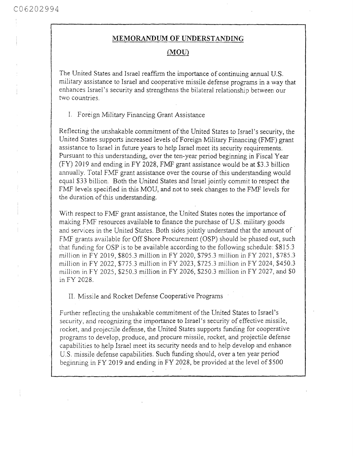## MEMORANDUM OF UNDERSTANDING

## $(MOU)$

The United States and Israel reaffirm the importance of continuing annual U.S. military assistance to Israel and cooperative missile defense programs in a way that enhances Israel's security and strengthens the bilateral relationship between our two countries.

I. Foreign Military Financing Grant Assistance

Reflecting the unshakable commitment of the United States to Israel's security, the United States supports increased levels of Foreign Military Financing (FMF) grant assistance to Israel in future years to help Israel meet its security requirements. Pursuant to this understanding, over the ten-year period beginning in Fiscal Year (FY) 2019 and ending in FY 2028, FMF grant assistance would be at \$3.3 billion annually. Total FMF grant assistance over the course of this understanding would equal \$33 billion. Both the United States and Israel jointly commit to respect the FMF levels specified in this MOU, and not to seek changes to the FMF levels for the duration of this understanding.

With respect to FMF grant assistance, the United States notes the importance of making FMF resources available to finance the purchase of U.S. military goods and services in the United States. Both sides jointly understand that the amount of FMF grants available for Off Shore Procurement (OSP) should be phased out, such that funding for OSP is to be available according to the following schedule: \$815.3 million in FY 2019, \$805.3 million in FY 2020, \$795.3 million in FY 2021, \$785.3 million in FY 2022, \$775.3 million in FY 2023, \$725.3 million in FY 2024, \$450.3 million in FY 2025, \$250.3 million in FY 2026, \$250.3 million in FY 2027, and \$0 in FY 2028.

II. Missile and Rocket Defense Cooperative Programs

Further reflecting the unshakable commitment of the United States to Israel's security, and recognizing the importance to Israel's security of effective missile, rocket, and projectile defense, the United States supports funding for cooperative programs to develop, produce, and procure missile, rocket, and projectile defense capabilities to help Israel meet its security needs and to help develop and enhance U.S. missile defense capabilities. Such funding should, over a ten year period beginning in FY 2019 and ending in FY 2028, be provided at the level of \$500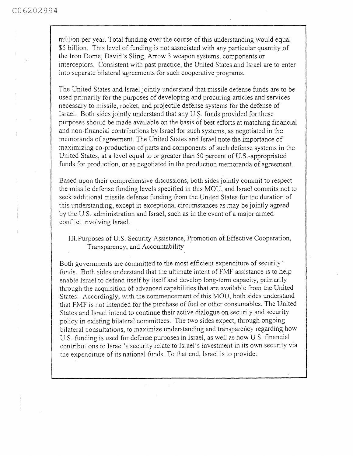million per year. Total funding over the course of this understanding would equal \$5 billion. This level of funding is not associated with any particular quantity of the Iron Dome, David's Sling, Arrow 3 weapon systems, components or interceptors. Consistent with past practice, the United States and Israel are to enter into separate bilateral agreements for such cooperative programs.

The United States and Israel jointly understand that missile defense funds are to be used primarily for the purposes of developing and procuring articles and services necessary to missile, rocket, and projectile defense systems for the defense of Israel. Both sides jointly understand that any U.S. funds provided for these purposes should be made available on the basis of best efforts at matching financial and non-financial contributions by Israel for such systems, as negotiated in the memoranda of agreement. The United States and Israel note the importance of maximizing co-production of parts and components of such defense systems in the United States, at a level equal to or greater than 50 percent of U.S.-appropriated funds for production, or as negotiated in the production memoranda of agreement.

Based upon their comprehensive discussions, both sides jointly commit to respect the missile defense funding levels specified in this MOU, and Israel commits not to seek additional missile defense funding from the United States for the duration of this understanding, except in exceptional circumstances as may be jointly agreed by the U.S. administration and Israel, such as in the event of a major armed conflict involving Israel.

III. Purposes of U.S. Security Assistance, Promotion of Effective Cooperation, Transparency, and Accountability

Both governments are committed to the most efficient expenditure of security funds. Both sides understand that the ultimate intent of FMF assistance is to help enable Israel to defend itself by itself and develop long-term capacity, primarily through the acquisition of advanced capabilities that are available from the United States. Accordingly, with the commencement of this MOU, both sides understand that FMF is not intended for the purchase of fuel or other consumables. The United States and Israel intend to continue their active dialogue on security and security policy in existing bilateral committees. The two sides expect, through ongoing bilateral consultations, to maximize understanding and transparency regarding how U.S. funding is used for defense purposes in Israel, as well as how U.S. financial contributions to Israel's security relate to Israel's investment in its own security via the expenditure of its national funds. To that end, Israel is to provide: